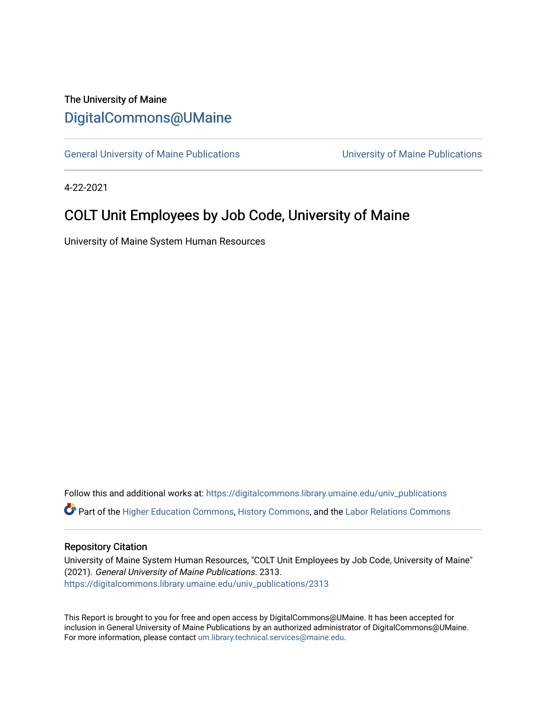## The University of Maine [DigitalCommons@UMaine](https://digitalcommons.library.umaine.edu/)

[General University of Maine Publications](https://digitalcommons.library.umaine.edu/univ_publications) [University of Maine Publications](https://digitalcommons.library.umaine.edu/umaine_publications) 

4-22-2021

# COLT Unit Employees by Job Code, University of Maine

University of Maine System Human Resources

Follow this and additional works at: [https://digitalcommons.library.umaine.edu/univ\\_publications](https://digitalcommons.library.umaine.edu/univ_publications?utm_source=digitalcommons.library.umaine.edu%2Funiv_publications%2F2313&utm_medium=PDF&utm_campaign=PDFCoverPages)  Part of the [Higher Education Commons,](http://network.bepress.com/hgg/discipline/1245?utm_source=digitalcommons.library.umaine.edu%2Funiv_publications%2F2313&utm_medium=PDF&utm_campaign=PDFCoverPages) [History Commons,](http://network.bepress.com/hgg/discipline/489?utm_source=digitalcommons.library.umaine.edu%2Funiv_publications%2F2313&utm_medium=PDF&utm_campaign=PDFCoverPages) and the [Labor Relations Commons](http://network.bepress.com/hgg/discipline/635?utm_source=digitalcommons.library.umaine.edu%2Funiv_publications%2F2313&utm_medium=PDF&utm_campaign=PDFCoverPages) 

### Repository Citation

University of Maine System Human Resources, "COLT Unit Employees by Job Code, University of Maine" (2021). General University of Maine Publications. 2313. [https://digitalcommons.library.umaine.edu/univ\\_publications/2313](https://digitalcommons.library.umaine.edu/univ_publications/2313?utm_source=digitalcommons.library.umaine.edu%2Funiv_publications%2F2313&utm_medium=PDF&utm_campaign=PDFCoverPages)

This Report is brought to you for free and open access by DigitalCommons@UMaine. It has been accepted for inclusion in General University of Maine Publications by an authorized administrator of DigitalCommons@UMaine. For more information, please contact [um.library.technical.services@maine.edu](mailto:um.library.technical.services@maine.edu).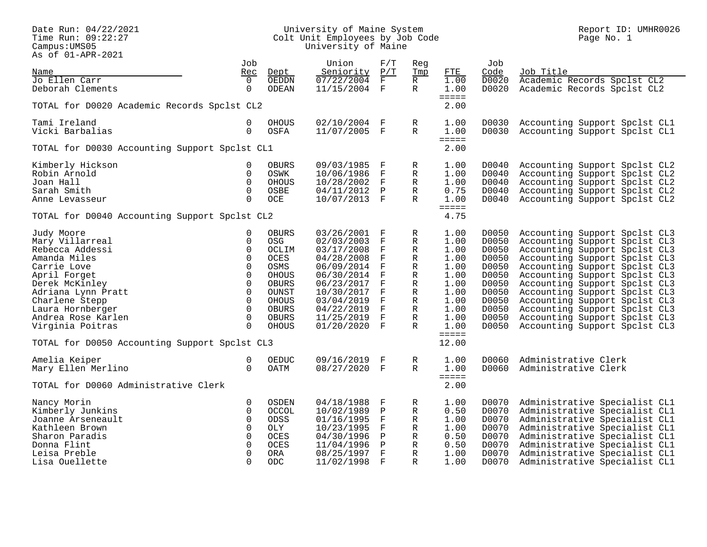#### Date Run: 04/22/2021 University of Maine System Report ID: UMHR0026 Time Run: 09:22:27 Colt Unit Employees by Job Code Page No. 1 Campus:UMS05 University of Maine

|                                               | Job          |              | Union          | F/T          | Reg          |                          | Job   |                               |
|-----------------------------------------------|--------------|--------------|----------------|--------------|--------------|--------------------------|-------|-------------------------------|
| Name                                          | Rec          | Dept         | Seniority      | P/T          | Tmp          | FTE                      | Code  | Job Title                     |
| Jo Ellen Carr                                 | $\Omega$     | OEDDN        | 07/22/2004     | F            | R            | 1.00                     | D0020 | Academic Records Spclst CL2   |
| Deborah Clements                              | $\mathbf 0$  | ODEAN        | 11/15/2004 F   |              | R            | 1.00                     | D0020 | Academic Records Spclst CL2   |
| TOTAL for D0020 Academic Records Spclst CL2   |              |              |                |              |              | $=$ $=$ $=$ $=$<br>2.00  |       |                               |
|                                               |              |              |                |              |              |                          |       |                               |
| Tami Ireland                                  | 0            | <b>OHOUS</b> | 02/10/2004 F   |              | R            | 1.00                     | D0030 | Accounting Support Spclst CL1 |
| Vicki Barbalias                               | $\mathbf 0$  | OSFA         | 11/07/2005 F   |              | R            | 1.00                     | D0030 | Accounting Support Spclst CL1 |
| TOTAL for D0030 Accounting Support Spclst CL1 |              |              |                |              |              | =====<br>2.00            |       |                               |
| Kimberly Hickson                              | 0            | <b>OBURS</b> | 09/03/1985     | F            | R            | 1.00                     | D0040 | Accounting Support Spclst CL2 |
| Robin Arnold                                  | $\Omega$     | OSWK         | 10/06/1986     | $_{\rm F}$   | R            | 1.00                     | D0040 | Accounting Support Spclst CL2 |
| Joan Hall                                     | $\Omega$     | OHOUS        | 10/28/2002     | $_{\rm F}$   | R            | 1.00                     | D0040 | Accounting Support Spclst CL2 |
| Sarah Smith                                   | $\mathbf 0$  | OSBE         | 04/11/2012     | $\mathbf{P}$ | R            | 0.75                     | D0040 | Accounting Support Spclst CL2 |
| Anne Levasseur                                | $\Omega$     | OCE          | 10/07/2013 F   |              | R            | 1.00                     | D0040 | Accounting Support Spclst CL2 |
|                                               |              |              |                |              |              | $=$ $=$ $=$ $=$          |       |                               |
| TOTAL for D0040 Accounting Support Spclst CL2 |              |              |                |              |              | 4.75                     |       |                               |
| Judy Moore                                    | 0            | <b>OBURS</b> | 03/26/2001     | F            | R            | 1.00                     | D0050 | Accounting Support Spclst CL3 |
| Mary Villarreal                               | $\Omega$     | <b>OSG</b>   | 02/03/2003     | F            | R            | 1.00                     | D0050 | Accounting Support Spclst CL3 |
| Rebecca Addessi                               | $\Omega$     | OCLIM        | 03/17/2008     | $\mathbf{F}$ | $\mathbb{R}$ | 1.00                     | D0050 | Accounting Support Spclst CL3 |
| Amanda Miles                                  | $\Omega$     | <b>OCES</b>  | 04/28/2008     | F            | R            | 1.00                     | D0050 | Accounting Support Spclst CL3 |
| Carrie Love                                   | $\mathbf 0$  | OSMS         | 06/09/2014     | F            | R            | 1.00                     | D0050 | Accounting Support Spclst CL3 |
| April Forget                                  | $\mathbf 0$  | <b>OHOUS</b> | 06/30/2014     | $\mathbf F$  | R            | 1.00                     | D0050 | Accounting Support Spclst CL3 |
| Derek McKinley                                | $\mathbf 0$  | <b>OBURS</b> | 06/23/2017     | F            | R            | 1.00                     | D0050 | Accounting Support Spclst CL3 |
| Adriana Lynn Pratt                            | $\Omega$     | OUNST        | 10/30/2017     | $\mathbf F$  | R            | 1.00                     | D0050 | Accounting Support Spclst CL3 |
| Charlene Stepp                                | $\mathbf 0$  | OHOUS        | 03/04/2019     | F            | R            | 1.00                     | D0050 | Accounting Support Spclst CL3 |
| Laura Hornberger                              | $\Omega$     | <b>OBURS</b> | 04/22/2019     | $_{\rm F}$   | R            | 1.00                     | D0050 | Accounting Support Spclst CL3 |
| Andrea Rose Karlen                            | $\Omega$     | <b>OBURS</b> | 11/25/2019     | $\mathbf{F}$ | R            | 1.00                     | D0050 | Accounting Support Spclst CL3 |
| Virginia Poitras                              | $\Omega$     | <b>OHOUS</b> | $01/20/2020$ F |              | $\mathbb{R}$ | 1.00                     | D0050 | Accounting Support Spclst CL3 |
|                                               |              |              |                |              |              | $=$ $=$ $=$ $=$<br>12.00 |       |                               |
| TOTAL for D0050 Accounting Support Spclst CL3 |              |              |                |              |              |                          |       |                               |
| Amelia Keiper                                 | 0            | OEDUC        | 09/16/2019 F   |              | R            | 1.00                     | D0060 | Administrative Clerk          |
| Mary Ellen Merlino                            | $\Omega$     | <b>OATM</b>  | 08/27/2020 F   |              | R            | 1.00                     | D0060 | Administrative Clerk          |
| TOTAL for D0060 Administrative Clerk          |              |              |                |              |              | $=$ $=$ $=$ $=$<br>2.00  |       |                               |
| Nancy Morin                                   | 0            | <b>OSDEN</b> | 04/18/1988     | F            | R            | 1.00                     | D0070 | Administrative Specialist CL1 |
| Kimberly Junkins                              | 0            | OCCOL        | 10/02/1989     | Ρ            | R            | 0.50                     | D0070 | Administrative Specialist CL1 |
| Joanne Arseneault                             | $\mathbf 0$  | <b>ODSS</b>  | 01/16/1995     | F            | R            | 1.00                     | D0070 | Administrative Specialist CL1 |
| Kathleen Brown                                | $\mathbf{0}$ | OLY          | 10/23/1995     | F            | R            | 1.00                     | D0070 | Administrative Specialist CL1 |
| Sharon Paradis                                | $\mathbf 0$  | <b>OCES</b>  | 04/30/1996     | Ρ            | R            | 0.50                     | D0070 | Administrative Specialist CL1 |
| Donna Flint                                   | $\mathbf 0$  | OCES         | 11/04/1996     | $\, {\bf P}$ | R            | 0.50                     | D0070 | Administrative Specialist CL1 |
| Leisa Preble                                  | $\Omega$     | <b>ORA</b>   | 08/25/1997     | $\mathbf{F}$ | $\mathbb{R}$ | 1.00                     | D0070 | Administrative Specialist CL1 |
| Lisa Ouellette                                | $\Omega$     | <b>ODC</b>   | 11/02/1998     | $\mathbf{F}$ | $\mathbb{R}$ | 1.00                     | D0070 | Administrative Specialist CL1 |
|                                               |              |              |                |              |              |                          |       |                               |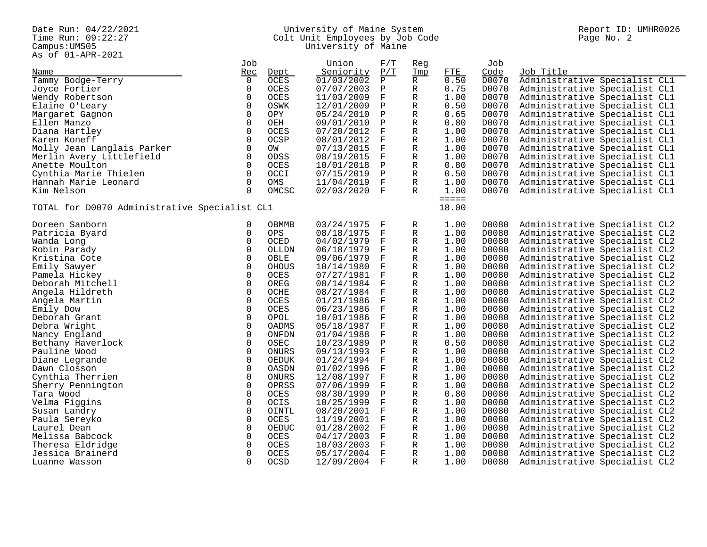Campus: UMS05<br>As of 01-APR-2021

#### Date Run: 04/22/2021 University of Maine System Report ID: UMHR0026 Time Run: 09:22:27 Colt Unit Employees by Job Code Page No. 2 Campus:UMS05 University of Maine

| AS OL OI AFR 2021                             |                             |              |                                |                 |       |                               |
|-----------------------------------------------|-----------------------------|--------------|--------------------------------|-----------------|-------|-------------------------------|
|                                               | Job                         | Union        | F/T<br>Reg                     |                 | Job   |                               |
| Name                                          | Rec<br>Dept                 | Seniority    | P/T<br>Tmp                     | FTE             | Code  | Job Title                     |
| Tammy Bodge-Terry                             | $\mathbf 0$<br>OCES         | 01/03/2002   | $\, {\bf P}$<br>$\overline{R}$ | 0.50            | D0070 | Administrative Specialist CL1 |
| Joyce Fortier                                 | 0<br><b>OCES</b>            | 07/07/2003   | R<br>Ρ                         | 0.75            | D0070 | Administrative Specialist CL1 |
| Wendy Robertson                               | $\mathbf 0$<br>OCES         | 11/03/2009   | F<br>R                         | 1.00            | D0070 | Administrative Specialist CL1 |
|                                               |                             |              |                                |                 |       |                               |
| Elaine O'Leary                                | 0<br>OSWK                   | 12/01/2009   | Ρ<br>R                         | 0.50            | D0070 | Administrative Specialist CL1 |
| Margaret Gagnon                               | $\Omega$<br><b>OPY</b>      | 05/24/2010   | Ρ<br>R                         | 0.65            | D0070 | Administrative Specialist CL1 |
| Ellen Manzo                                   | $\mathbf 0$<br>OEH          | 09/01/2010   | $\mathbf P$<br>R               | 0.80            | D0070 | Administrative Specialist CL1 |
| Diana Hartley                                 | $\mathbf 0$<br><b>OCES</b>  | 07/20/2012   | F<br>R                         | 1.00            | D0070 | Administrative Specialist CL1 |
| Karen Koneff                                  | $\mathbf 0$<br>OCSP         | 08/01/2012   | F<br>R                         | 1.00            | D0070 | Administrative Specialist CL1 |
| Molly Jean Langlais Parker                    | $\Omega$<br>OW              | 07/13/2015   | F<br>R                         | 1.00            | D0070 | Administrative Specialist CL1 |
| Merlin Avery Littlefield                      | $\mathbf 0$<br>ODSS         | 08/19/2015   | $_{\rm F}$<br>R                | 1.00            | D0070 | Administrative Specialist CL1 |
| Anette Moulton                                | $\Omega$<br><b>OCES</b>     |              | Ρ<br>R                         | 0.80            | D0070 |                               |
|                                               |                             | 10/01/2018   |                                |                 |       | Administrative Specialist CL1 |
| Cynthia Marie Thielen                         | $\Omega$<br>OCCI            | 07/15/2019   | $\mathbf{P}$<br>R              | 0.50            | D0070 | Administrative Specialist CL1 |
| Hannah Marie Leonard                          | $\mathbf 0$<br>OMS          | 11/04/2019   | F<br>R                         | 1.00            | D0070 | Administrative Specialist CL1 |
| Kim Nelson                                    | $\Omega$<br>OMCSC           | 02/03/2020 F | R                              | 1.00            | D0070 | Administrative Specialist CL1 |
|                                               |                             |              |                                | $=$ $=$ $=$ $=$ |       |                               |
| TOTAL for D0070 Administrative Specialist CL1 |                             |              |                                | 18.00           |       |                               |
| Doreen Sanborn                                | 0<br>OBMMB                  | 03/24/1975   | $_{\rm F}$<br>R                | 1.00            | D0080 | Administrative Specialist CL2 |
| Patricia Byard                                | 0<br>OPS                    | 08/18/1975   | $\rm F$<br>R                   | 1.00            | D0080 | Administrative Specialist CL2 |
| Wanda Long                                    | $\Omega$<br>OCED            | 04/02/1979   | F<br>R                         | 1.00            | D0080 | Administrative Specialist CL2 |
| Robin Parady                                  | $\mathbf 0$<br>OLLDN        | 06/18/1979   | $_{\rm F}$<br>R                | 1.00            | D0080 | Administrative Specialist CL2 |
|                                               | $\Omega$                    |              | $_{\rm F}$                     |                 |       |                               |
| Kristina Cote                                 | OBLE                        | 09/06/1979   | R                              | 1.00            | D0080 | Administrative Specialist CL2 |
| Emily Sawyer                                  | $\Omega$<br><b>OHOUS</b>    | 10/14/1980   | $_{\rm F}$<br>R                | 1.00            | D0080 | Administrative Specialist CL2 |
| Pamela Hickey                                 | $\mathsf 0$<br>OCES         | 07/27/1981   | F<br>R                         | 1.00            | D0080 | Administrative Specialist CL2 |
| Deborah Mitchell                              | $\Omega$<br>OREG            | 08/14/1984   | $_{\rm F}$<br>R                | 1.00            | D0080 | Administrative Specialist CL2 |
| Angela Hildreth                               | $\mathbf 0$<br>OCHE         | 08/27/1984   | F<br>R                         | 1.00            | D0080 | Administrative Specialist CL2 |
| Angela Martin                                 | $\mathbf 0$<br><b>OCES</b>  | 01/21/1986   | F<br>R                         | 1.00            | D0080 | Administrative Specialist CL2 |
| Emily Dow                                     | $\mathbf 0$<br><b>OCES</b>  | 06/23/1986   | F<br>R                         | 1.00            | D0080 | Administrative Specialist CL2 |
| Deborah Grant                                 | $\Omega$<br>OPOL            | 10/01/1986   | F<br>R                         | 1.00            | D0080 | Administrative Specialist CL2 |
| Debra Wright                                  | $\mathbf 0$                 |              | $\mathbf F$                    | 1.00            | D0080 |                               |
|                                               | OADMS                       | 05/18/1987   | R                              |                 |       | Administrative Specialist CL2 |
| Nancy England                                 | $\Omega$<br>ONFDN           | 01/04/1988   | $_{\rm F}$<br>R                | 1.00            | D0080 | Administrative Specialist CL2 |
| Bethany Haverlock                             | $\mathbf 0$<br>OSEC         | 10/23/1989   | $\mathbf P$<br>R               | 0.50            | D0080 | Administrative Specialist CL2 |
| Pauline Wood                                  | $\mathbf 0$<br>ONURS        | 09/13/1993   | $_{\rm F}$<br>R                | 1.00            | D0080 | Administrative Specialist CL2 |
| Diane Legrande                                | $\Omega$<br>OEDUK           | 01/24/1994   | $_{\rm F}$<br>R                | 1.00            | D0080 | Administrative Specialist CL2 |
| Dawn Closson                                  | $\Omega$<br>OASDN           | 01/02/1996   | R<br>F                         | 1.00            | D0080 | Administrative Specialist CL2 |
| Cynthia Therrien                              | $\mathbf 0$<br>ONURS        | 12/08/1997   | $\mathbf F$<br>R               | 1.00            | D0080 | Administrative Specialist CL2 |
| Sherry Pennington                             | $\mathbf 0$<br>OPRSS        | 07/06/1999   | F<br>R                         | 1.00            | D0080 | Administrative Specialist CL2 |
| Tara Wood                                     | $\mathbf 0$<br>OCES         | 08/30/1999   | $_{\rm P}$<br>R                | 0.80            | D0080 | Administrative Specialist CL2 |
|                                               |                             |              |                                |                 |       |                               |
| Velma Figgins                                 | $\mathsf{O}\xspace$<br>OCIS | 10/25/1999   | F<br>R                         | 1.00            | D0080 | Administrative Specialist CL2 |
| Susan Landry                                  | $\Omega$<br>OINTL           | 08/20/2001   | $_{\rm F}$<br>R                | 1.00            | D0080 | Administrative Specialist CL2 |
| Paula Sereyko                                 | $\mathbf 0$<br>OCES         | 11/19/2001   | F<br>R                         | 1.00            | D0080 | Administrative Specialist CL2 |
| Laurel Dean                                   | $\overline{0}$<br>OEDUC     | 01/28/2002   | $_{\rm F}$<br>R                | 1.00            | D0080 | Administrative Specialist CL2 |
| Melissa Babcock                               | $\mathbf 0$<br>OCES         | 04/17/2003   | F<br>R                         | 1.00            | D0080 | Administrative Specialist CL2 |
| Theresa Eldridge                              | $\mathbf 0$<br>OCES         | 10/03/2003   | F<br>R                         | 1.00            | D0080 | Administrative Specialist CL2 |
| Jessica Brainerd                              | $\Omega$<br>OCES            | 05/17/2004   | $\mathbf F$<br>R               | 1.00            | D0080 | Administrative Specialist CL2 |
| Luanne Wasson                                 | $\Omega$<br><b>OCSD</b>     | 12/09/2004 F | R                              | 1.00            | D0080 | Administrative Specialist CL2 |
|                                               |                             |              |                                |                 |       |                               |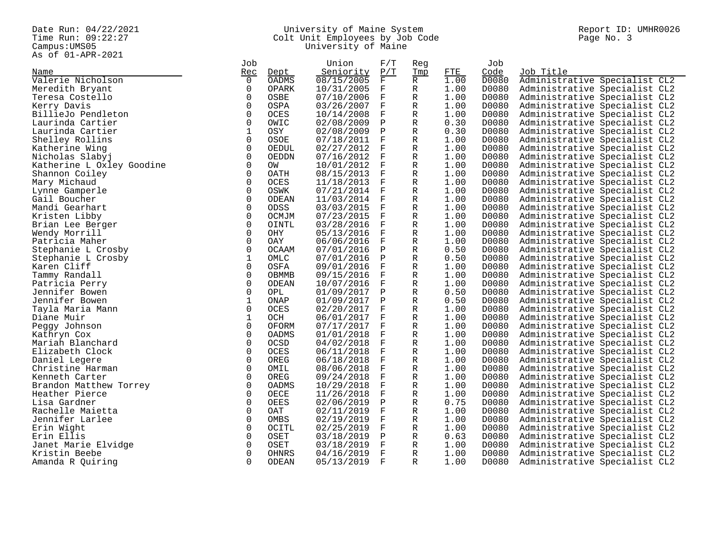Campus: UMS05<br>As of 01-APR-2021

#### Date Run: 04/22/2021 University of Maine System Report ID: UMHR0026 Time Run: 09:22:27 Colt Unit Employees by Job Code Page No. 3 Campus:UMS05 University of Maine

|                           | Job          |               | Union                    | F/T                     | Reg    |              | Job            |                                                                |
|---------------------------|--------------|---------------|--------------------------|-------------------------|--------|--------------|----------------|----------------------------------------------------------------|
| Name                      | Rec          | Dept          | Seniority                | P/T                     | Tmp    | ETE          | Code           | Job Title                                                      |
| Valerie Nicholson         | $\Omega$     | <b>OADMS</b>  | 08/15/2005               | $\overline{\mathrm{F}}$ | R      | 1.00         | D0080          | Administrative Specialist CL2                                  |
| Meredith Bryant           | $\Omega$     | OPARK         | 10/31/2005               | $_{\rm F}$              | R      | 1.00         | D0080          | Administrative Specialist CL2                                  |
| Teresa Costello           | $\Omega$     | OSBE          | 07/10/2006               | $\mathbf{F}$            | R      | 1.00         | D0080          | Administrative Specialist CL2                                  |
| Kerry Davis               | $\Omega$     | OSPA          | 03/26/2007               | $_{\rm F}$              | R      | 1.00         | D0080          | Administrative Specialist CL2                                  |
| BillieJo Pendleton        | 0            | OCES          | 10/14/2008               | F                       | R      | 1.00         | D0080          | Administrative Specialist CL2                                  |
| Laurinda Cartier          | 0            | OWIC          | 02/08/2009               | Ρ                       | R      | 0.30         | D0080          | Administrative Specialist CL2                                  |
| Laurinda Cartier          | 1            | OSY           | 02/08/2009               | $\mathbf{P}$            | R      | 0.30         | D0080          | Administrative Specialist CL2                                  |
| Shelley Rollins           | $\mathbf 0$  | OSOE          | 07/18/2011               | F                       | R      | 1.00         | D0080          | Administrative Specialist CL2                                  |
| Katherine Wing            | $\Omega$     | OEDUL         | 02/27/2012               | F                       | R      | 1.00         | D0080          | Administrative Specialist CL2                                  |
| Nicholas Slabyj           | $\Omega$     | OEDDN         | 07/16/2012               | F                       | R      | 1.00         | D0080          | Administrative Specialist CL2                                  |
| Katherine L Oxley Goodine | $\mathbf 0$  | OW            | 10/01/2012               | $\mathbf F$             | R      | 1.00         | D0080          | Administrative Specialist CL2                                  |
| Shannon Coiley            | $\Omega$     | OATH          | 08/15/2013               | $_{\rm F}$              | R      | 1.00         | D0080          | Administrative Specialist CL2                                  |
| Mary Michaud              | $\Omega$     | OCES          | 11/18/2013               | $\mathbf{F}$            | R      | 1.00         | D0080          | Administrative Specialist CL2                                  |
| Lynne Gamperle            | $\Omega$     | OSWK          | 07/21/2014 F             |                         | R      | 1.00         | D0080          | Administrative Specialist CL2                                  |
| Gail Boucher              | $\Omega$     | ODEAN         | 11/03/2014 F             |                         | R      | 1.00         | D0080          | Administrative Specialist CL2                                  |
| Mandi Gearhart            | $\Omega$     | ODSS          | 03/03/2015               | $_{\rm F}$              | R      | 1.00         | D0080          | Administrative Specialist CL2                                  |
| Kristen Libby             | $\Omega$     | OCMJM         | 07/23/2015               | F                       | R      | 1.00         | D0080          | Administrative Specialist CL2                                  |
| Brian Lee Berger          | $\Omega$     | OINTL         | 03/28/2016               | $_{\rm F}$              | R      | 1.00         | D0080          | Administrative Specialist CL2                                  |
| Wendy Morrill             | $\Omega$     | OHY           | 05/13/2016               | $_{\rm F}$              | R      | 1.00         | D0080          | Administrative Specialist CL2                                  |
| Patricia Maher            | $\Omega$     | OAY           | 06/06/2016               | $_{\rm F}$              | R      | 1.00         | D0080          | Administrative Specialist CL2                                  |
| Stephanie L Crosby        | $\Omega$     | <b>OCAAM</b>  | 07/01/2016               | $\mathbf{P}$            | R      | 0.50         | D0080          | Administrative Specialist CL2                                  |
| Stephanie L Crosby        | $\mathbf{1}$ | OMLC          | 07/01/2016               | $\mathbf P$             | R      | 0.50         | D0080          | Administrative Specialist CL2                                  |
| Karen Cliff               | $\Omega$     | OSFA          | 09/01/2016               | $_{\rm F}$              | R      | 1.00         | D0080          | Administrative Specialist CL2                                  |
| Tammy Randall             | $\Omega$     | OBMMB         | 09/15/2016               | $\mathbf{F}$            | R      | 1.00         | D0080          | Administrative Specialist CL2                                  |
| Patricia Perry            | $\Omega$     | ODEAN         | 10/07/2016               | $_{\rm F}$              | R      | 1.00         | D0080          | Administrative Specialist CL2                                  |
| Jennifer Bowen            | $\Omega$     | OPL           | 01/09/2017               | $\mathbf{P}$            | R      | 0.50         | D0080          | Administrative Specialist CL2                                  |
| Jennifer Bowen            | 1            | ONAP          | 01/09/2017               | $\mathbf P$             | R      | 0.50         | D0080          | Administrative Specialist CL2                                  |
| Tayla Maria Mann          | 0            | OCES          | 02/20/2017               | F                       | R      | 1.00         | D0080          | Administrative Specialist CL2                                  |
| Diane Muir                | 1            | OCH           | 06/01/2017               | $\mathbf F$             | R      | 1.00         | D0080          | Administrative Specialist CL2                                  |
| Peggy Johnson             | $\Omega$     | OFORM         | 07/17/2017               | $\mathbf{F}$            | R      | 1.00         | D0080          | Administrative Specialist CL2                                  |
| Kathryn Cox               | $\Omega$     | OADMS         | 01/01/2018               | $_{\rm F}$              | R      | 1.00         | D0080          | Administrative Specialist CL2                                  |
| Mariah Blanchard          | $\Omega$     | OCSD          | 04/02/2018               | $_{\rm F}$              | R      | 1.00         | D0080          | Administrative Specialist CL2                                  |
| Elizabeth Clock           | $\Omega$     | OCES          | 06/11/2018               | F                       | R      | 1.00         | D0080          | Administrative Specialist CL2                                  |
| Daniel Legere             | $\Omega$     | OREG          | 06/18/2018               | $\mathbf{F}$            | R      | 1.00         | D0080          | Administrative Specialist CL2                                  |
| Christine Harman          | $\Omega$     | OMIL          | 08/06/2018               | $_{\rm F}$              | R      | 1.00         | D0080          | Administrative Specialist CL2                                  |
| Kenneth Carter            | $\Omega$     | OREG          | 09/24/2018               | $_{\rm F}$              | R      | 1.00         | D0080          | Administrative Specialist CL2                                  |
| Brandon Matthew Torrey    | 0            | OADMS         | 10/29/2018               | $\mathbf{F}$            | R      | 1.00         | D0080          | Administrative Specialist CL2                                  |
| Heather Pierce            | $\Omega$     | OECE          | 11/26/2018               | $_{\rm F}$              | R      | 1.00         | D0080          | Administrative Specialist CL2                                  |
| Lisa Gardner              | 0            | OEES          |                          | Ρ                       |        | 0.75         | D0080          |                                                                |
| Rachelle Maietta          | $\Omega$     | OAT           | 02/06/2019<br>02/11/2019 | F                       | R<br>R | 1.00         | D0080          | Administrative Specialist CL2<br>Administrative Specialist CL2 |
| Jennifer Larlee           | $\Omega$     | OMBS          | 02/19/2019               | $_{\rm F}$              | R      | 1.00         | D0080          | Administrative Specialist CL2                                  |
|                           | $\Omega$     |               |                          | F                       |        |              |                |                                                                |
| Erin Wight                | $\Omega$     | OCITL<br>OSET | 02/25/2019               | $\mathbf{P}$            | R      | 1.00<br>0.63 | D0080<br>D0080 | Administrative Specialist CL2                                  |
| Erin Ellis                | 0            | OSET          | 03/18/2019               | $\mathbf{F}$            | R      | 1.00         |                | Administrative Specialist CL2                                  |
| Janet Marie Elvidge       | $\Omega$     |               | 03/18/2019               | $_{\rm F}$              | R      |              | D0080          | Administrative Specialist CL2                                  |
| Kristin Beebe             | $\Omega$     | OHNRS         | 04/16/2019               |                         | R      | 1.00         | D0080          | Administrative Specialist CL2                                  |
| Amanda R Quiring          |              | ODEAN         | 05/13/2019               | $\overline{F}$          | R      | 1.00         | D0080          | Administrative Specialist CL2                                  |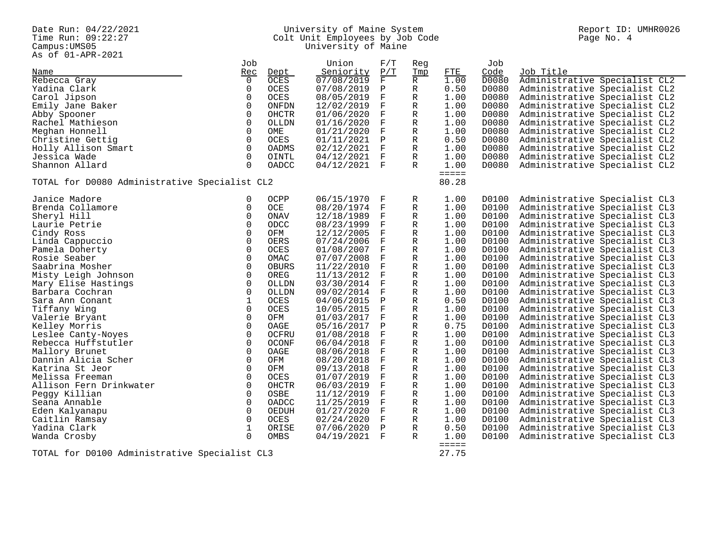Campus:UMS05<br>As of 01-APR-2021

#### Date Run: 04/22/2021 University of Maine System Report ID: UMHR0026 Time Run: 09:22:27 Colt Unit Employees by Job Code Page No. 4 Campus:UMS05 University of Maine

| AS OL UITAPRTZUZI                             |                |                     |              |              |             |                     |       |                               |
|-----------------------------------------------|----------------|---------------------|--------------|--------------|-------------|---------------------|-------|-------------------------------|
|                                               | Job            |                     | Union        | F/T          | Reg         |                     | Job   |                               |
| Name                                          | Rec            | Dept                | Seniority    | P/T          | Tmp         | ETE                 | Code  | Job Title                     |
| Rebecca Gray                                  | $\Omega$       | <b>OCES</b>         | 07/08/2019   | F            | R           | 1.00                | D0080 | Administrative Specialist CL2 |
| Yadina Clark                                  | 0              | <b>OCES</b>         | 07/08/2019   | Ρ            | R           | 0.50                | D0080 | Administrative Specialist CL2 |
| Carol Jipson                                  | $\mathbf 0$    | <b>OCES</b>         | 08/05/2019   | $\mathbf{F}$ | R           | 1.00                | D0080 | Administrative Specialist CL2 |
| Emily Jane Baker                              | $\Omega$       | ONFDN               | 12/02/2019   | F            | R           | 1.00                | D0080 | Administrative Specialist CL2 |
| Abby Spooner                                  | $\Omega$       | <b>OHCTR</b>        | 01/06/2020   | $\mathbf{F}$ | R           | 1.00                | D0080 | Administrative Specialist CL2 |
| Rachel Mathieson                              | 0              | OLLDN               | 01/16/2020   | F            | R           | 1.00                | D0080 |                               |
|                                               | $\mathbf 0$    |                     |              | $\mathbf F$  |             |                     | D0080 | Administrative Specialist CL2 |
| Meghan Honnell                                |                | OME                 | 01/21/2020   |              | R           | 1.00                |       | Administrative Specialist CL2 |
| Christine Gettig                              | $\Omega$       | OCES                | 01/11/2021   | Ρ            | R           | 0.50                | D0080 | Administrative Specialist CL2 |
| Holly Allison Smart                           | $\overline{0}$ | OADMS               | 02/12/2021   | $_{\rm F}$   | R           | 1.00                | D0080 | Administrative Specialist CL2 |
| Jessica Wade                                  | $\Omega$       | OINTL               | 04/12/2021   | - F          | R           | 1.00                | D0080 | Administrative Specialist CL2 |
| Shannon Allard                                | $\Omega$       | OADCC               | 04/12/2021 F |              | R           | 1.00                | D0080 | Administrative Specialist CL2 |
|                                               |                |                     |              |              |             | $=$ $=$ $=$ $=$ $=$ |       |                               |
| TOTAL for D0080 Administrative Specialist CL2 |                |                     |              |              |             | 80.28               |       |                               |
|                                               |                |                     |              |              |             |                     |       |                               |
| Janice Madore                                 | 0              | OCPP                | 06/15/1970   | F            | R           | 1.00                | D0100 | Administrative Specialist CL3 |
| Brenda Collamore                              | $\Omega$       | OCE                 | 08/20/1974   | F            | R           | 1.00                | D0100 | Administrative Specialist CL3 |
| Sheryl Hill                                   | 0              | ONAV                | 12/18/1989   | F            | R           | 1.00                | D0100 | Administrative Specialist CL3 |
| Laurie Petrie                                 | 0              | ODCC                | 08/23/1999   | $\mathbf F$  | R           | 1.00                | D0100 | Administrative Specialist CL3 |
| Cindy Ross                                    | 0              | OFM                 | 12/12/2005   | F            | R           | 1.00                | D0100 | Administrative Specialist CL3 |
| Linda Cappuccio                               | 0              | OERS                | 07/24/2006   | F            | R           | 1.00                | D0100 | Administrative Specialist CL3 |
|                                               | 0              |                     |              | $\mathbf{F}$ |             | 1.00                | D0100 |                               |
| Pamela Doherty                                |                | OCES                | 01/08/2007   |              | R           |                     |       | Administrative Specialist CL3 |
| Rosie Seaber                                  | $\mathbf 0$    | OMAC                | 07/07/2008   | F            | R           | 1.00                | D0100 | Administrative Specialist CL3 |
| Saabrina Mosher                               | 0              | OBURS               | 11/22/2010   | F            | R           | 1.00                | D0100 | Administrative Specialist CL3 |
| Misty Leigh Johnson                           | 0              | OREG                | 11/13/2012   | F            | R           | 1.00                | D0100 | Administrative Specialist CL3 |
| Mary Elise Hastings                           | $\mathsf 0$    | OLLDN               | 03/30/2014   | F            | R           | 1.00                | D0100 | Administrative Specialist CL3 |
| Barbara Cochran                               | $\mathbf 0$    | OLLDN               | 09/02/2014   | F            | R           | 1.00                | D0100 | Administrative Specialist CL3 |
| Sara Ann Conant                               | $\mathbf{1}$   | OCES                | 04/06/2015   | Ρ            | R           | 0.50                | D0100 | Administrative Specialist CL3 |
| Tiffany Wing                                  | $\mathsf 0$    | <b>OCES</b>         | 10/05/2015   | F            | R           | 1.00                | D0100 | Administrative Specialist CL3 |
| Valerie Bryant                                | 0              | OFM                 | 01/03/2017   | F            | R           | 1.00                | D0100 | Administrative Specialist CL3 |
| Kelley Morris                                 | 0              | OAGE                | 05/16/2017   | Ρ            | R           | 0.75                | D0100 | Administrative Specialist CL3 |
| Leslee Canty-Noyes                            | $\mathsf 0$    | <b>OCFRU</b>        | 01/08/2018   | $\mathbf F$  | R           | 1.00                | D0100 | Administrative Specialist CL3 |
| Rebecca Huffstutler                           | $\mathbf 0$    | <b>OCONF</b>        | 06/04/2018   | F            | R           | 1.00                | D0100 | Administrative Specialist CL3 |
| Mallory Brunet                                | $\mathbf 0$    | OAGE                | 08/06/2018   | F            | R           | 1.00                | D0100 | Administrative Specialist CL3 |
| Dannin Alicia Scher                           | $\Omega$       | OFM                 | 08/20/2018   | $\mathbf{F}$ | R           | 1.00                | D0100 | Administrative Specialist CL3 |
| Katrina St Jeor                               | 0              | OFM                 | 09/13/2018   | F            | R           | 1.00                | D0100 | Administrative Specialist CL3 |
|                                               |                |                     |              |              |             |                     |       |                               |
| Melissa Freeman                               | 0              | <b>OCES</b>         | 01/07/2019   | $_{\rm F}$   | R           | 1.00                | D0100 | Administrative Specialist CL3 |
| Allison Fern Drinkwater                       | $\mathbf 0$    | <b>OHCTR</b>        | 06/03/2019   | $\mathbf F$  | $\mathbb R$ | 1.00                | D0100 | Administrative Specialist CL3 |
| Peggy Killian                                 | $\Omega$       | OSBE                | 11/12/2019   | F            | R           | 1.00                | D0100 | Administrative Specialist CL3 |
| Seana Annable                                 | 0              | $\mathop{\rm OADC}$ | 11/25/2019   | F            | R           | 1.00                | D0100 | Administrative Specialist CL3 |
| Eden Kalyanapu                                | $\Omega$       | OEDUH               | 01/27/2020   | $_{\rm F}$   | R           | 1.00                | D0100 | Administrative Specialist CL3 |
| Caitlin Ramsay                                | $\mathbf 0$    | OCES                | 02/24/2020   | F            | R           | 1.00                | D0100 | Administrative Specialist CL3 |
| Yadina Clark                                  | $\mathbf{1}$   | ORISE               | 07/06/2020   | $\mathbf P$  | R           | 0.50                | D0100 | Administrative Specialist CL3 |
| Wanda Crosby                                  | $\Omega$       | OMBS                | 04/19/2021   | $_{\rm F}$   | R           | 1.00                | D0100 | Administrative Specialist CL3 |
|                                               |                |                     |              |              |             |                     |       |                               |

TOTAL for D0100 Administrative Specialist CL3

======<br>27.75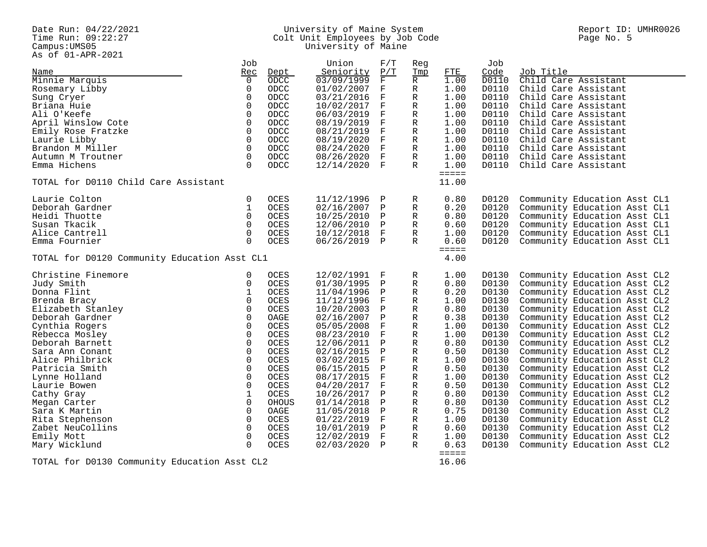As of 01-APR-2021

#### Date Run: 04/22/2021 University of Maine System Report ID: UMHR0026 Time Run: 09:22:27 Colt Unit Employees by Job Code Page No. 5 Campus:UMS05 University of Maine

| AS OL UITAPRTZUZI<br>Name                    | Job<br>Rec              | Dept         | Union<br>Seniority | F/T<br>P/T        | Reg<br>Tmp   | FTE            | Job<br>Code    | Job Title                    |
|----------------------------------------------|-------------------------|--------------|--------------------|-------------------|--------------|----------------|----------------|------------------------------|
| Minnie Marquis                               | $\overline{0}$          | ODCC         | 03/09/1999         | F                 | R            | 1.00           | D0110          | Child Care Assistant         |
| Rosemary Libby                               | $\mathbf 0$             | <b>ODCC</b>  | 01/02/2007         | F                 | R            | 1.00           | D0110          | Child Care Assistant         |
| Sung Cryer                                   | $\mathsf 0$             | ODCC         | 03/21/2016         | $\mathbf F$       | $\mathbb R$  | 1.00           | D0110          | Child Care Assistant         |
| Briana Huie                                  | $\mathbf 0$             | ODCC         | 10/02/2017         | F                 | R            | 1.00           | D0110          | Child Care Assistant         |
| Ali O'Keefe                                  | 0                       | ODCC         | 06/03/2019         | F                 | R            | 1.00           | D0110          | Child Care Assistant         |
| April Winslow Cote                           | $\mathbf 0$             | ODCC         | 08/19/2019         | F                 | R            | 1.00           | D0110          | Child Care Assistant         |
| Emily Rose Fratzke                           | $\Omega$                | ODCC         | 08/21/2019         | $\mathbf F$       | R            | 1.00           | D0110          | Child Care Assistant         |
| Laurie Libby                                 | $\Omega$                | ODCC         | 08/19/2020         | $\mathbf F$       | R            | 1.00           | D0110          | Child Care Assistant         |
| Brandon M Miller                             | $\mathbf 0$             | ODCC         | 08/24/2020         | F                 | R            | 1.00           | D0110          | Child Care Assistant         |
| Autumn M Troutner                            | $\mathbf 0$             | ODCC         | 08/26/2020         | $_{\rm F}$        | R            | 1.00           | D0110          | Child Care Assistant         |
| Emma Hichens                                 | $\Omega$                | ODCC         | 12/14/2020         | $\mathbf{F}$      | R            | 1.00           | D0110          | Child Care Assistant         |
| TOTAL for D0110 Child Care Assistant         |                         |              |                    |                   |              | =====<br>11.00 |                |                              |
|                                              |                         |              |                    |                   |              |                |                |                              |
| Laurie Colton                                | 0                       | <b>OCES</b>  | 11/12/1996         | Ρ                 | R            | 0.80           | D0120          | Community Education Asst CL1 |
| Deborah Gardner                              | $\mathbf 1$             | OCES         | 02/16/2007         | $\mathbf P$       | $\mathbb R$  | 0.20           | D0120          | Community Education Asst CL1 |
| Heidi Thuotte                                | $\Omega$                | OCES         | 10/25/2010         | Ρ                 | R            | 0.80           | D0120          | Community Education Asst CL1 |
| Susan Tkacik                                 | $\mathbf 0$             | OCES         | 12/06/2010         | Ρ                 | R            | 0.60           | D0120          | Community Education Asst CL1 |
| Alice Cantrell                               | $\mathbf 0$             | <b>OCES</b>  | 10/12/2018         | F                 | R            | 1.00           | D0120          | Community Education Asst CL1 |
| Emma Fournier                                | $\Omega$                | <b>OCES</b>  | 06/26/2019 P       |                   | $\mathbb{R}$ | 0.60<br>=====  | D0120          | Community Education Asst CL1 |
| TOTAL for D0120 Community Education Asst CL1 |                         |              |                    |                   |              | 4.00           |                |                              |
| Christine Finemore                           | 0                       | <b>OCES</b>  | 12/02/1991         | F                 | R            | 1.00           | D0130          | Community Education Asst CL2 |
| Judy Smith                                   | 0                       | OCES         | 01/30/1995         | Ρ                 | R            | 0.80           | D0130          | Community Education Asst CL2 |
| Donna Flint                                  | 1                       | OCES         | 11/04/1996         | Ρ                 | R            | 0.20           | D0130          | Community Education Asst CL2 |
| Brenda Bracy                                 | $\mathbf 0$             | OCES         | 11/12/1996         | F                 | R            | 1.00           | D0130          | Community Education Asst CL2 |
| Elizabeth Stanley                            | $\mathbf 0$             | <b>OCES</b>  | 10/20/2003         | Ρ                 | R            | 0.80           | D0130          | Community Education Asst CL2 |
| Deborah Gardner                              | $\mathbf 0$             | OAGE         | 02/16/2007         | $\mathbf P$       | R            | 0.38           | D0130          | Community Education Asst CL2 |
| Cynthia Rogers                               | $\mathsf{O}\xspace$     | OCES         | 05/05/2008         | F                 | R            | 1.00           | D0130          | Community Education Asst CL2 |
| Rebecca Mosley                               | $\mathbf 0$             | OCES         | 08/23/2010         | F                 | R            | 1.00           | D0130          | Community Education Asst CL2 |
| Deborah Barnett                              | $\mathbf 0$             | <b>OCES</b>  | 12/06/2011         | Ρ                 | R            | 0.80           | D0130          | Community Education Asst CL2 |
| Sara Ann Conant                              | $\mathbf 0$             | OCES         | 02/16/2015         | $\mathbf P$       | $\mathbb R$  | 0.50           | D0130          | Community Education Asst CL2 |
| Alice Philbrick                              | $\mathsf 0$             | <b>OCES</b>  | 03/02/2015         | F                 | R            | 1.00           | D0130          | Community Education Asst CL2 |
| Patricia Smith                               | 0                       | OCES         | 06/15/2015         | Ρ                 | R            | 0.50           | D0130          | Community Education Asst CL2 |
| Lynne Holland                                | $\mathbf 0$             | <b>OCES</b>  | 08/17/2015         | F                 | R            | 1.00           | D0130          | Community Education Asst CL2 |
| Laurie Bowen                                 | $\mathbf 0$             | <b>OCES</b>  | 04/20/2017         | $\mathbf F$       | R            | 0.50           | D0130          | Community Education Asst CL2 |
| Cathy Gray                                   | $1\,$                   | OCES         | 10/26/2017         | Ρ                 | R            | 0.80           | D0130          | Community Education Asst CL2 |
| Megan Carter                                 | $\mathbf 0$             | <b>OHOUS</b> | 01/14/2018         | Ρ                 | R            | 0.80           | D0130          | Community Education Asst CL2 |
| Sara K Martin                                | 0                       | OAGE         | 11/05/2018         | Ρ                 | R            | 0.75           | D0130          | Community Education Asst CL2 |
| Rita Stephenson                              | $\Omega$                | <b>OCES</b>  | 01/22/2019         | F                 | R            | 1.00           | D0130          | Community Education Asst CL2 |
| Zabet NeuCollins                             | $\mathbf 0$<br>$\Omega$ | <b>OCES</b>  | 10/01/2019         | $\mathbf P$       | R            | 0.60           | D0130          | Community Education Asst CL2 |
| Emily Mott                                   | $\Omega$                | OCES         | 12/02/2019         | F<br>$\mathbf{P}$ | R<br>R       | 1.00<br>0.63   | D0130<br>D0130 | Community Education Asst CL2 |
| Mary Wicklund                                |                         | OCES         | 02/03/2020         |                   |              |                |                | Community Education Asst CL2 |

TOTAL for D0130 Community Education Asst CL2

=====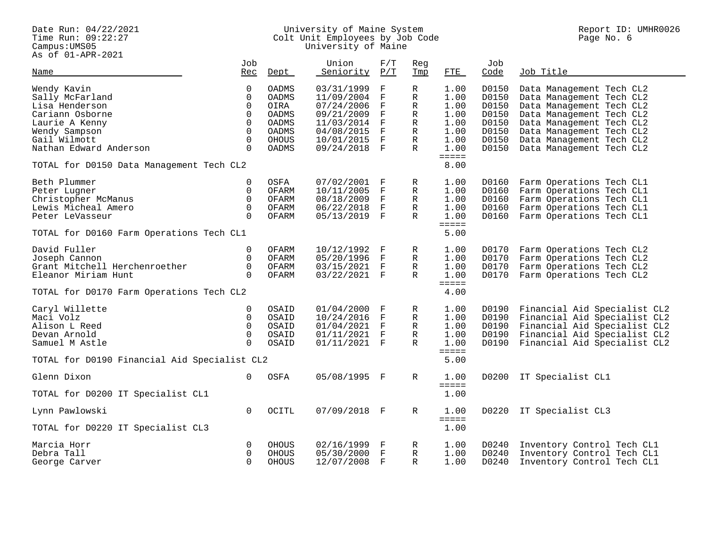Pace Run: 04/22/2021<br>Time Run: 09:22:27<br>Campus:UMS05<br>As of 01-APR-2021

#### Date Run: 04/22/2021 University of Maine System Report ID: UMHR0026 Time Run: 09:22:27 Colt Unit Employees by Job Code Page No. 6 Campus:UMS05 University of Maine

 $\overline{\phantom{a}}$ 

| AS OL UI-APR-ZUZI                            |                   |              |                    |              |            |                             |             |                              |
|----------------------------------------------|-------------------|--------------|--------------------|--------------|------------|-----------------------------|-------------|------------------------------|
| Name                                         | Job<br><u>Rec</u> | Dept         | Union<br>Seniority | F/T<br>P/T   | Reg<br>Tmp | ETE                         | Job<br>Code | Job Title                    |
| Wendy Kavin                                  | 0                 | OADMS        | 03/31/1999         | $\mathbf F$  | R          | 1.00                        | D0150       | Data Management Tech CL2     |
| Sally McFarland                              | $\Omega$          | OADMS        | 11/09/2004         | $\mathbf F$  | R          | 1.00                        | D0150       | Data Management Tech CL2     |
|                                              |                   |              |                    |              |            |                             |             |                              |
| Lisa Henderson                               | $\Omega$          | OIRA         | 07/24/2006         | $\mathbf F$  | R          | 1.00                        | D0150       | Data Management Tech CL2     |
| Cariann Osborne                              | $\Omega$          | OADMS        | 09/21/2009 F       |              | R          | 1.00                        | D0150       | Data Management Tech CL2     |
| Laurie A Kenny                               | $\Omega$          | OADMS        | 11/03/2014         | $\mathbf F$  | R          | 1.00                        | D0150       | Data Management Tech CL2     |
| Wendy Sampson                                | $\Omega$          | <b>OADMS</b> | 04/08/2015         | $\mathbf{F}$ | R          | 1.00                        | D0150       | Data Management Tech CL2     |
| Gail Wilmott                                 | $\Omega$          | <b>OHOUS</b> | 10/01/2015 F       |              | R          | 1.00                        | D0150       | Data Management Tech CL2     |
| Nathan Edward Anderson                       | $\Omega$          | OADMS        | 09/24/2018 F       |              | R          | 1.00                        | D0150       | Data Management Tech CL2     |
| TOTAL for D0150 Data Management Tech CL2     |                   |              |                    |              |            | $=$ $=$ $=$ $=$<br>8.00     |             |                              |
|                                              |                   |              |                    |              |            |                             |             |                              |
| Beth Plummer                                 | $\mathbf 0$       | OSFA         | 07/02/2001         | F            | R          | 1.00                        | D0160       | Farm Operations Tech CL1     |
| Peter Lugner                                 | $\mathbf 0$       | OFARM        | 10/11/2005         | F            | R          | 1.00                        | D0160       | Farm Operations Tech CL1     |
| Christopher McManus                          | $\Omega$          | OFARM        | 08/18/2009         | $_{\rm F}$   | R          | 1.00                        | D0160       | Farm Operations Tech CL1     |
| Lewis Micheal Amero                          | $\Omega$          | OFARM        | 06/22/2018         | $\mathbf{F}$ | R          | 1.00                        | D0160       | Farm Operations Tech CL1     |
| Peter LeVasseur                              | $\Omega$          | OFARM        | 05/13/2019 F       |              | R          | 1.00                        | D0160       | Farm Operations Tech CL1     |
|                                              |                   |              |                    |              |            | $=$ $=$ $=$ $=$             |             |                              |
| TOTAL for D0160 Farm Operations Tech CL1     |                   |              |                    |              |            | 5.00                        |             |                              |
| David Fuller                                 | $\Omega$          | OFARM        | 10/12/1992         | F            | R          | 1.00                        | D0170       | Farm Operations Tech CL2     |
| Joseph Cannon                                | $\mathbf 0$       | OFARM        | 05/20/1996 F       |              | R          | 1.00                        | D0170       | Farm Operations Tech CL2     |
| Grant Mitchell Herchenroether                | $\Omega$          | OFARM        | 03/15/2021 F       |              | R          | 1.00                        | D0170       | Farm Operations Tech CL2     |
|                                              | $\Omega$          |              |                    |              |            |                             |             |                              |
| Eleanor Miriam Hunt                          |                   | OFARM        | 03/22/2021 F       |              | R          | 1.00<br>$=$ $=$ $=$ $=$     | D0170       | Farm Operations Tech CL2     |
| TOTAL for D0170 Farm Operations Tech CL2     |                   |              |                    |              |            | 4.00                        |             |                              |
| Caryl Willette                               | $\mathbf 0$       | OSAID        | $01/04/2000$ F     |              | R          | 1.00                        | D0190       | Financial Aid Specialist CL2 |
| Maci Volz                                    | $\Omega$          | OSAID        | 10/24/2016 F       |              | R          | 1.00                        | D0190       | Financial Aid Specialist CL2 |
| Alison L Reed                                | $\Omega$          | OSAID        | $01/04/2021$ F     |              | R          | 1.00                        | D0190       | Financial Aid Specialist CL2 |
|                                              |                   |              |                    |              |            |                             |             |                              |
| Devan Arnold                                 | $\Omega$          | OSAID        | 01/11/2021 F       |              | R          | 1.00                        | D0190       | Financial Aid Specialist CL2 |
| Samuel M Astle                               | $\Omega$          | OSAID        | 01/11/2021 F       |              | R          | 1.00<br>$=$ $=$ $=$ $=$ $=$ | D0190       | Financial Aid Specialist CL2 |
| TOTAL for D0190 Financial Aid Specialist CL2 |                   |              |                    |              |            | 5.00                        |             |                              |
| Glenn Dixon                                  | $\Omega$          | OSFA         | 05/08/1995 F       |              | R          | 1.00                        | D0200       | IT Specialist CL1            |
|                                              |                   |              |                    |              |            | $=$ $=$ $=$ $=$ $=$         |             |                              |
| TOTAL for D0200 IT Specialist CL1            |                   |              |                    |              |            | 1.00                        |             |                              |
| Lynn Pawlowski                               | $\Omega$          | OCITL        | 07/09/2018 F       |              | R          | 1.00                        | D0220       | IT Specialist CL3            |
| TOTAL for D0220 IT Specialist CL3            |                   |              |                    |              |            | $=$ $=$ $=$ $=$<br>1.00     |             |                              |
|                                              |                   |              |                    |              |            |                             |             |                              |
| Marcia Horr                                  | $\mathbf 0$       | OHOUS        | 02/16/1999 F       |              | R          | 1.00                        | D0240       | Inventory Control Tech CL1   |
| Debra Tall                                   | $\Omega$          | OHOUS        | 05/30/2000         | $_{\rm F}$   | R          | 1.00                        | D0240       | Inventory Control Tech CL1   |
| George Carver                                | $\Omega$          | OHOUS        | 12/07/2008         | $\mathbf{F}$ | R          | 1.00                        | D0240       | Inventory Control Tech CL1   |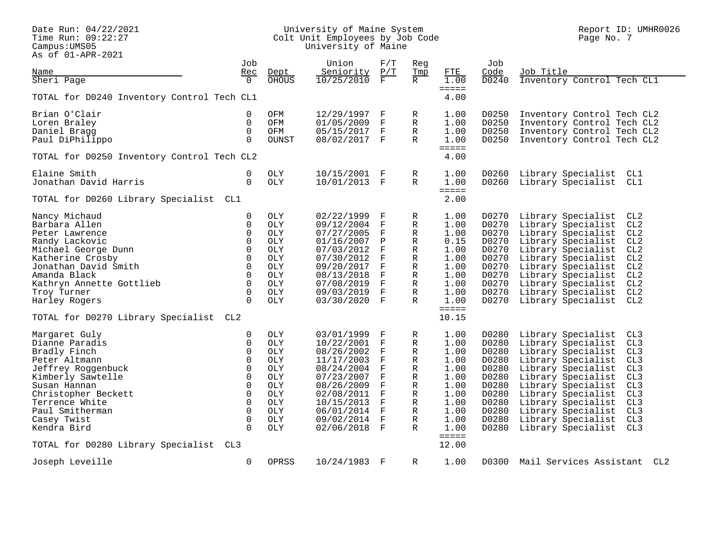Pace Run: 04/22/2021<br>Time Run: 09:22:27<br>Campus:UMS05<br>As of 01-APR-2021

#### Date Run: 04/22/2021 University of Maine System Report ID: UMHR0026 Time Run: 09:22:27 Colt Unit Employees by Job Code Page No. 7 Campus:UMS05 University of Maine

|                                            | Job                     |            | Union        | F/T          | Reg          |                             | Job            |                                       |
|--------------------------------------------|-------------------------|------------|--------------|--------------|--------------|-----------------------------|----------------|---------------------------------------|
| Name                                       | Rec                     | Dept       | Seniority    | P/T          | Tmp          | FTE                         | Code           | Job Title                             |
| Sheri Page                                 | $\Omega$                | OHOUS      | 10/25/2010   | $\mathbf F$  | R            | 1.00                        | D0240          | Inventory Control Tech CL1            |
| TOTAL for D0240 Inventory Control Tech CL1 |                         |            |              |              |              | $=$<br>4.00                 |                |                                       |
| Brian O'Clair                              | 0                       | OFM        | 12/29/1997   | F            | R            | 1.00                        | D0250          | Inventory Control Tech CL2            |
| Loren Braley                               | 0                       | OFM        | 01/05/2009   | F            | R            | 1.00                        | D0250          | Inventory Control Tech CL2            |
| Daniel Bragg                               | 0                       | OFM        | 05/15/2017   | F            | R            | 1.00                        | D0250          | Inventory Control Tech CL2            |
| Paul DiPhilippo                            | $\Omega$                | OUNST      | 08/02/2017 F |              | R            | 1.00                        | D0250          | Inventory Control Tech CL2            |
| TOTAL for D0250 Inventory Control Tech CL2 |                         |            |              |              |              | $=$ $=$ $=$ $=$ $=$<br>4.00 |                |                                       |
| Elaine Smith                               | $\mathbf 0$             | OLY        | 10/15/2001 F |              | R            | 1.00                        | D0260          | Library Specialist<br>CL1             |
| Jonathan David Harris                      | $\Omega$                | <b>OLY</b> | 10/01/2013 F |              | $\mathbb{R}$ | 1.00                        | D0260          | Library Specialist CL1                |
| TOTAL for D0260 Library Specialist         | CL1                     |            |              |              |              | $=$ $=$ $=$ $=$<br>2.00     |                |                                       |
| Nancy Michaud                              | 0                       | OLY        | 02/22/1999   | F            | R            | 1.00                        | D0270          | Library Specialist<br>CL <sub>2</sub> |
| Barbara Allen                              | 0                       | OLY        | 09/12/2004   | F            | R            | 1.00                        | D0270          | Library Specialist<br>CL2             |
| Peter Lawrence                             | 0                       | <b>OLY</b> | 07/27/2005   | F            | R            | 1.00                        | D0270          | Library Specialist<br>CL2             |
| Randy Lackovic                             | $\mathbf 0$             | OLY        | 01/16/2007   | P            | R            | 0.15                        | D0270          | Library Specialist<br>CL <sub>2</sub> |
| Michael George Dunn                        | $\Omega$                | OLY        | 07/03/2012   | F            | R            | 1.00                        | D0270          | Library Specialist<br>CL2             |
| Katherine Crosby                           | $\Omega$                | OLY        | 07/30/2012   | F            | R            | 1.00                        | D0270          | Library Specialist<br>CL2             |
| Jonathan David Smith                       | $\mathbf 0$             | OLY        | 09/20/2017   | F            | R            | 1.00                        | D0270          | Library Specialist<br>CL2             |
| Amanda Black                               | 0                       | <b>OLY</b> | 08/13/2018   | F            | R            | 1.00                        | D0270          | Library Specialist<br>CL2             |
| Kathryn Annette Gottlieb                   | $\mathbf 0$             | <b>OLY</b> | 07/08/2019   | $\mathbf{F}$ | R            | 1.00                        | D0270          | Library Specialist<br>CL2             |
| Troy Turner                                | 0                       | OLY        | 09/03/2019   | $\mathbf{F}$ | $\mathbb{R}$ | 1.00                        | D0270          | Library Specialist<br>CL2             |
| Harley Rogers                              | $\Omega$                | OLY        | 03/30/2020   | $_{\rm F}$   | R            | 1.00                        | D0270          | CL2<br>Library Specialist             |
| TOTAL for D0270 Library Specialist         | CL2                     |            |              |              |              | $=$ $=$ $=$ $=$<br>10.15    |                |                                       |
| Margaret Guly                              | 0                       | <b>OLY</b> | 03/01/1999   | F            | R            | 1.00                        | D0280          | Library Specialist<br>CL3             |
| Dianne Paradis                             | 0                       | <b>OLY</b> | 10/22/2001   | F            | R            | 1.00                        | D0280          | Library Specialist<br>CL <sub>3</sub> |
| Bradly Finch                               | 0                       | <b>OLY</b> | 08/26/2002   | F            | R            | 1.00                        | D0280          | Library Specialist<br>CL3             |
| Peter Altmann                              | $\mathbf 0$             | <b>OLY</b> | 11/17/2003   | F            | R            | 1.00                        | D0280          | Library Specialist<br>CL3             |
| Jeffrey Roggenbuck                         | $\mathbf 0$             | OLY        | 08/24/2004   | $\mathbf{F}$ | R            | 1.00                        | D0280          | Library Specialist<br>CL3             |
| Kimberly Sawtelle                          | $\Omega$                | <b>OLY</b> | 07/23/2007   | F            | R            | 1.00                        | D0280          | CL3<br>Library Specialist             |
| Susan Hannan                               | $\mathbf 0$             | OLY        | 08/26/2009   | F            | R            | 1.00                        | D0280          | Library Specialist<br>CL3             |
| Christopher Beckett                        | $\Omega$                | OLY        | 02/08/2011   | F            | R            | 1.00                        | D0280          | Library Specialist<br>CL3             |
| Terrence White                             | $\mathbf 0$             | OLY        | 10/15/2013   | F            | R            | 1.00                        | D0280          | Library Specialist<br>CL3             |
| Paul Smitherman                            | $\Omega$                | OLY        | 06/01/2014   | F            | R            | 1.00                        | D0280          | Library Specialist<br>CL <sub>3</sub> |
| Casey Twist                                | $\mathbf 0$<br>$\Omega$ | <b>OLY</b> | 09/02/2014   | F            | R            | 1.00<br>1.00                | D0280<br>D0280 | Library Specialist<br>CL3             |
| Kendra Bird                                |                         | OLY        | 02/06/2018 F |              | R            | $=$ $=$ $=$ $=$             |                | Library Specialist<br>CL3             |
| TOTAL for D0280 Library Specialist         | CL3                     |            |              |              |              | 12.00                       |                |                                       |
| Joseph Leveille                            | $\Omega$                | OPRSS      | 10/24/1983 F |              | R            | 1.00                        | D0300          | Mail Services Assistant<br>CL2        |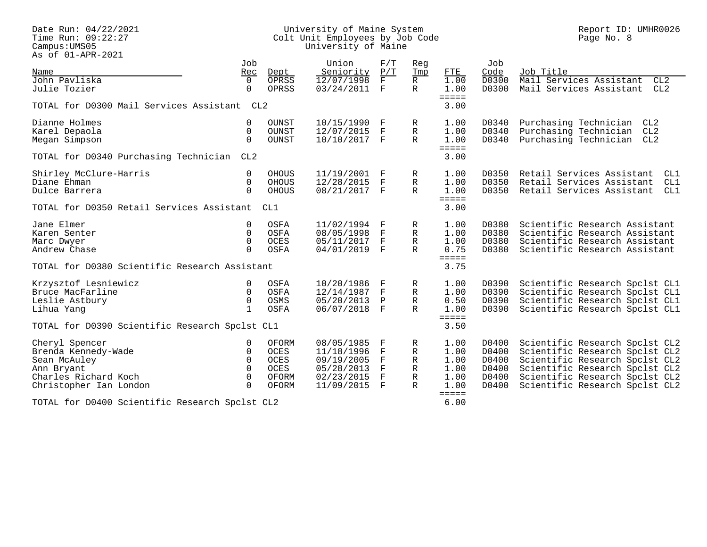Pace Run: 04/22/2021<br>Time Run: 09:22:27<br>Campus:UMS05<br>As of 01-APR-2021

#### Date Run: 04/22/2021 University of Maine System Report ID: UMHR0026 Time Run: 09:22:27 Colt Unit Employees by Job Code Page No. 8 Campus:UMS05 University of Maine

|                                                | Job             |              | Union        | F/T          | Reg          |                         | Job   |                                  |
|------------------------------------------------|-----------------|--------------|--------------|--------------|--------------|-------------------------|-------|----------------------------------|
| Name                                           | Rec             | Dept         | Seniority    | P/T          | Tmp          | FTE                     | Code  | Job Title                        |
| John Pavliska                                  | $\Omega$        | OPRSS        | 12/07/1998   | F            | R.           | 1.00                    | D0300 | Mail Services Assistant<br>CL2   |
| Julie Tozier                                   | $\Omega$        | OPRSS        | 03/24/2011   | F            | R            | 1.00<br>$=$ $=$ $=$ $=$ | D0300 | Mail Services Assistant<br>CL2   |
| TOTAL for D0300 Mail Services Assistant CL2    |                 |              |              |              |              | 3.00                    |       |                                  |
| Dianne Holmes                                  | $\Omega$        | OUNST        | 10/15/1990 F |              | R            | 1.00                    | D0340 | Purchasing Technician<br>CL2     |
| Karel Depaola                                  | $\Omega$        | OUNST        | 12/07/2015   | ाम           | R            | 1.00                    | D0340 | Purchasing Technician<br>CL2     |
| Megan Simpson                                  | $\Omega$        | <b>OUNST</b> | 10/10/2017 F |              | $\mathbb{R}$ | 1.00                    | D0340 | Purchasing Technician CL2        |
| TOTAL for D0340 Purchasing Technician          | CL <sub>2</sub> |              |              |              |              | $=$ $=$ $=$ $=$<br>3.00 |       |                                  |
| Shirley McClure-Harris                         | $\Omega$        | <b>OHOUS</b> | 11/19/2001 F |              | R            | 1.00                    | D0350 | Retail Services Assistant<br>CL1 |
| Diane Ehman                                    | $\Omega$        | <b>OHOUS</b> | 12/28/2015   | F            | $\mathbb R$  | 1.00                    | D0350 | Retail Services Assistant<br>CL1 |
| Dulce Barrera                                  | $\Omega$        | <b>OHOUS</b> | 08/21/2017 F |              | $\mathbb{R}$ | 1.00                    | D0350 | Retail Services Assistant<br>CL1 |
|                                                |                 |              |              |              |              | $=$ $=$ $=$ $=$         |       |                                  |
| TOTAL for D0350 Retail Services Assistant      |                 | CL1          |              |              |              | 3.00                    |       |                                  |
| Jane Elmer                                     | 0               | OSFA         | 11/02/1994 F |              | R            | 1.00                    | D0380 | Scientific Research Assistant    |
| Karen Senter                                   | $\Omega$        | OSFA         | 08/05/1998   | F            | R            | 1.00                    | D0380 | Scientific Research Assistant    |
| Marc Dwyer                                     | $\Omega$        | OCES         | 05/11/2017   | $\mathbf{F}$ | $\mathbb R$  | 1.00                    | D0380 | Scientific Research Assistant    |
| Andrew Chase                                   | $\Omega$        | OSFA         | 04/01/2019   | $\mathbf{F}$ | $\mathbb{R}$ | 0.75                    | D0380 | Scientific Research Assistant    |
| TOTAL for D0380 Scientific Research Assistant  |                 |              |              |              |              | $=$ $=$ $=$ $=$<br>3.75 |       |                                  |
| Krzysztof Lesniewicz                           | $\Omega$        | OSFA         | 10/20/1986   | F            | R            | 1.00                    | D0390 | Scientific Research Spclst CL1   |
| Bruce MacFarline                               | $\mathbf 0$     | OSFA         | 12/14/1987   | $\mathbf F$  | R            | 1.00                    | D0390 | Scientific Research Spclst CL1   |
| Leslie Astbury                                 | $\mathbf 0$     | OSMS         | 05/20/2013   | $\mathbf P$  | $\mathbb R$  | 0.50                    | D0390 | Scientific Research Spclst CL1   |
| Lihua Yang                                     | $\mathbf{1}$    | OSFA         | 06/07/2018 F |              | $\mathbb{R}$ | 1.00                    | D0390 | Scientific Research Spclst CL1   |
|                                                |                 |              |              |              |              | $=$ $=$ $=$ $=$         |       |                                  |
| TOTAL for D0390 Scientific Research Spclst CL1 |                 |              |              |              |              | 3.50                    |       |                                  |
| Cheryl Spencer                                 | $\Omega$        | OFORM        | 08/05/1985   | $\mathbf{F}$ | R            | 1.00                    | D0400 | Scientific Research Spclst CL2   |
| Brenda Kennedy-Wade                            | $\Omega$        | OCES         | 11/18/1996   | $\mathbf F$  | $\mathbb R$  | 1.00                    | D0400 | Scientific Research Spclst CL2   |
| Sean McAuley                                   | $\Omega$        | OCES         | 09/19/2005   | $\mathbf F$  | R            | 1.00                    | D0400 | Scientific Research Spclst CL2   |
| Ann Bryant                                     | $\Omega$        | <b>OCES</b>  | 05/28/2013   | F            | R            | 1.00                    | D0400 | Scientific Research Spclst CL2   |
| Charles Richard Koch                           | $\Omega$        | OFORM        | 02/23/2015   | $\mathbb{F}$ | $\mathbb R$  | 1.00                    | D0400 | Scientific Research Spclst CL2   |
| Christopher Ian London                         | $\Omega$        | OFORM        | 11/09/2015   | $\mathbf{F}$ | $\mathbb{R}$ | 1.00                    | D0400 | Scientific Research Spclst CL2   |
| TOTAL for D0400 Scientific Research Spclst CL2 |                 |              |              |              |              | $=$ $=$ $=$ $=$<br>6.00 |       |                                  |